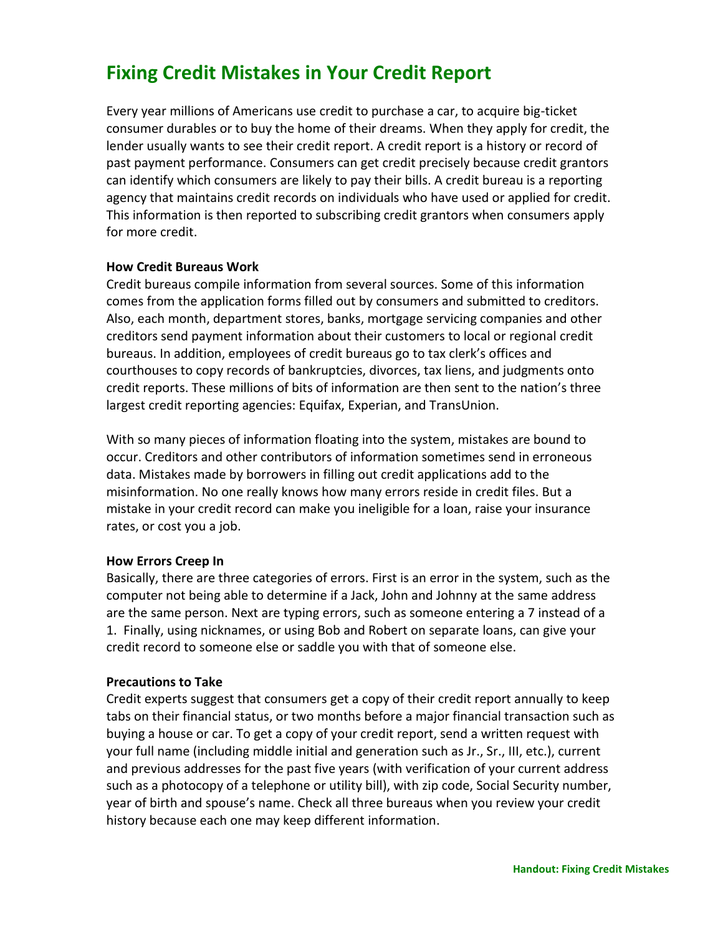# **Fixing Credit Mistakes in Your Credit Report**

Every year millions of Americans use credit to purchase a car, to acquire big-ticket consumer durables or to buy the home of their dreams. When they apply for credit, the lender usually wants to see their credit report. A credit report is a history or record of past payment performance. Consumers can get credit precisely because credit grantors can identify which consumers are likely to pay their bills. A credit bureau is a reporting agency that maintains credit records on individuals who have used or applied for credit. This information is then reported to subscribing credit grantors when consumers apply for more credit.

# **How Credit Bureaus Work**

Credit bureaus compile information from several sources. Some of this information comes from the application forms filled out by consumers and submitted to creditors. Also, each month, department stores, banks, mortgage servicing companies and other creditors send payment information about their customers to local or regional credit bureaus. In addition, employees of credit bureaus go to tax clerk's offices and courthouses to copy records of bankruptcies, divorces, tax liens, and judgments onto credit reports. These millions of bits of information are then sent to the nation's three largest credit reporting agencies: Equifax, Experian, and TransUnion.

With so many pieces of information floating into the system, mistakes are bound to occur. Creditors and other contributors of information sometimes send in erroneous data. Mistakes made by borrowers in filling out credit applications add to the misinformation. No one really knows how many errors reside in credit files. But a mistake in your credit record can make you ineligible for a loan, raise your insurance rates, or cost you a job.

## **How Errors Creep In**

Basically, there are three categories of errors. First is an error in the system, such as the computer not being able to determine if a Jack, John and Johnny at the same address are the same person. Next are typing errors, such as someone entering a 7 instead of a 1. Finally, using nicknames, or using Bob and Robert on separate loans, can give your credit record to someone else or saddle you with that of someone else.

## **Precautions to Take**

Credit experts suggest that consumers get a copy of their credit report annually to keep tabs on their financial status, or two months before a major financial transaction such as buying a house or car. To get a copy of your credit report, send a written request with your full name (including middle initial and generation such as Jr., Sr., III, etc.), current and previous addresses for the past five years (with verification of your current address such as a photocopy of a telephone or utility bill), with zip code, Social Security number, year of birth and spouse's name. Check all three bureaus when you review your credit history because each one may keep different information.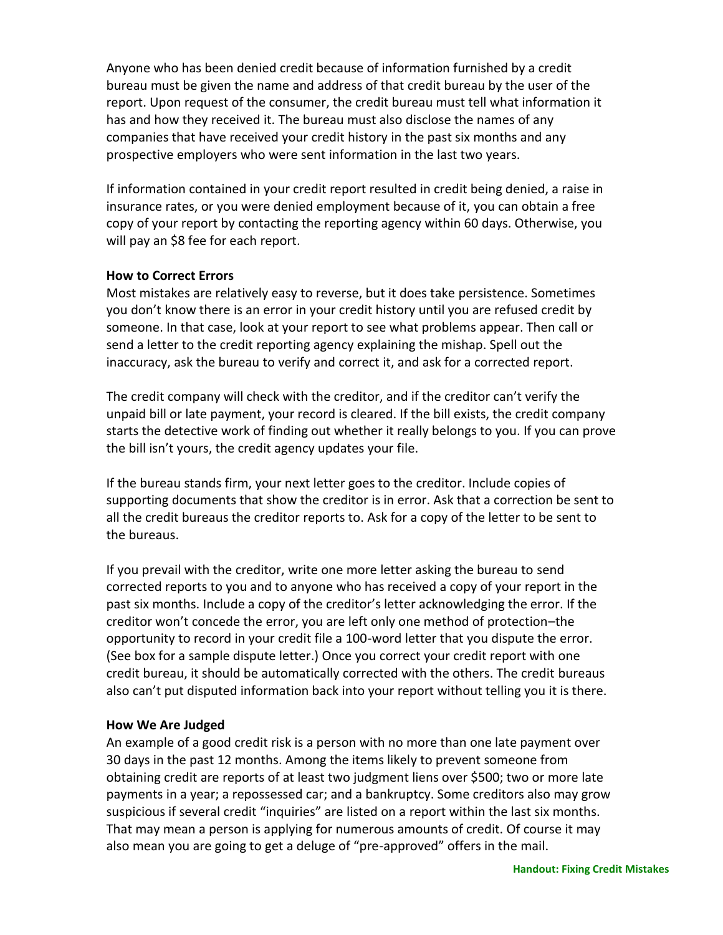Anyone who has been denied credit because of information furnished by a credit bureau must be given the name and address of that credit bureau by the user of the report. Upon request of the consumer, the credit bureau must tell what information it has and how they received it. The bureau must also disclose the names of any companies that have received your credit history in the past six months and any prospective employers who were sent information in the last two years.

If information contained in your credit report resulted in credit being denied, a raise in insurance rates, or you were denied employment because of it, you can obtain a free copy of your report by contacting the reporting agency within 60 days. Otherwise, you will pay an \$8 fee for each report.

# **How to Correct Errors**

Most mistakes are relatively easy to reverse, but it does take persistence. Sometimes you don't know there is an error in your credit history until you are refused credit by someone. In that case, look at your report to see what problems appear. Then call or send a letter to the credit reporting agency explaining the mishap. Spell out the inaccuracy, ask the bureau to verify and correct it, and ask for a corrected report.

The credit company will check with the creditor, and if the creditor can't verify the unpaid bill or late payment, your record is cleared. If the bill exists, the credit company starts the detective work of finding out whether it really belongs to you. If you can prove the bill isn't yours, the credit agency updates your file.

If the bureau stands firm, your next letter goes to the creditor. Include copies of supporting documents that show the creditor is in error. Ask that a correction be sent to all the credit bureaus the creditor reports to. Ask for a copy of the letter to be sent to the bureaus.

If you prevail with the creditor, write one more letter asking the bureau to send corrected reports to you and to anyone who has received a copy of your report in the past six months. Include a copy of the creditor's letter acknowledging the error. If the creditor won't concede the error, you are left only one method of protection–the opportunity to record in your credit file a 100-word letter that you dispute the error. (See box for a sample dispute letter.) Once you correct your credit report with one credit bureau, it should be automatically corrected with the others. The credit bureaus also can't put disputed information back into your report without telling you it is there.

# **How We Are Judged**

An example of a good credit risk is a person with no more than one late payment over 30 days in the past 12 months. Among the items likely to prevent someone from obtaining credit are reports of at least two judgment liens over \$500; two or more late payments in a year; a repossessed car; and a bankruptcy. Some creditors also may grow suspicious if several credit "inquiries" are listed on a report within the last six months. That may mean a person is applying for numerous amounts of credit. Of course it may also mean you are going to get a deluge of "pre-approved" offers in the mail.